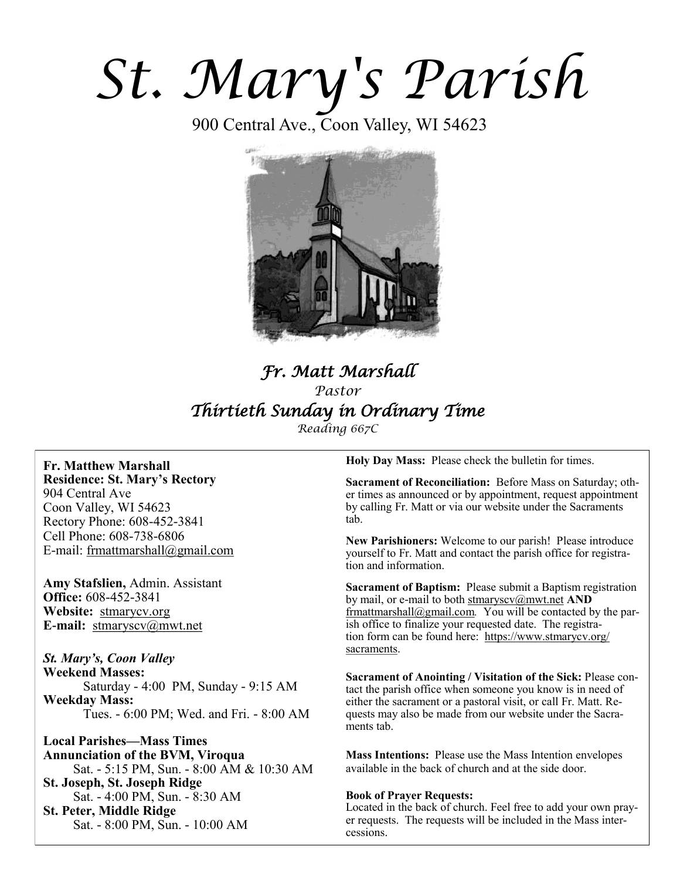# *St. Mary's Parish*

900 Central Ave., Coon Valley, WI 54623



## *Fr. Matt Marshall Pastor Thirtieth Sunday in Ordinary Time*

*Reading 667C*

**Fr. Matthew Marshall Residence: St. Mary's Rectory** 904 Central Ave Coon Valley, WI 54623 Rectory Phone: 608-452-3841 Cell Phone: 608-738-6806 E-mail: [frmattmarshall@gmail.com](mailto:frmattmarshall@gmail.com)

**Amy Stafslien,** Admin. Assistant **Office:** 608-452-3841 **Website:** <stmarycv.org> **E-mail:** [stmaryscv@mwt.net](mailto:stmaryscv@mwt.net)

*St. Mary's, Coon Valley*  **Weekend Masses:** Saturday - 4:00 PM, Sunday - 9:15 AM **Weekday Mass:**  Tues. - 6:00 PM; Wed. and Fri. - 8:00 AM

**Local Parishes—Mass Times Annunciation of the BVM, Viroqua** Sat. - 5:15 PM, Sun. - 8:00 AM & 10:30 AM **St. Joseph, St. Joseph Ridge** Sat. - 4:00 PM, Sun. - 8:30 AM **St. Peter, Middle Ridge** Sat. - 8:00 PM, Sun. - 10:00 AM

**Holy Day Mass:** Please check the bulletin for times.

**Sacrament of Reconciliation:** Before Mass on Saturday; other times as announced or by appointment, request appointment by calling Fr. Matt or via our website under the Sacraments tab.

**New Parishioners:** Welcome to our parish! Please introduce yourself to Fr. Matt and contact the parish office for registration and information.

**Sacrament of Baptism:** Please submit a Baptism registration by mail, or e-mail to both [stmaryscv@mwt.net](mailto:stmaryscv@mwt.net) **AND** [frmattmarshall@gmail.com](mailto:frmattmarshall@gmail.com)*.* You will be contacted by the parish office to finalize your requested date. The registration form can be found here: [https://www.stmarycv.org/](https://www.stmarycv.org/sacraments) [sacraments.](https://www.stmarycv.org/sacraments) 

**Sacrament of Anointing / Visitation of the Sick:** Please contact the parish office when someone you know is in need of either the sacrament or a pastoral visit, or call Fr. Matt. Requests may also be made from our website under the Sacraments tab.

**Mass Intentions:** Please use the Mass Intention envelopes available in the back of church and at the side door.

#### **Book of Prayer Requests:**

Located in the back of church. Feel free to add your own prayer requests. The requests will be included in the Mass intercessions.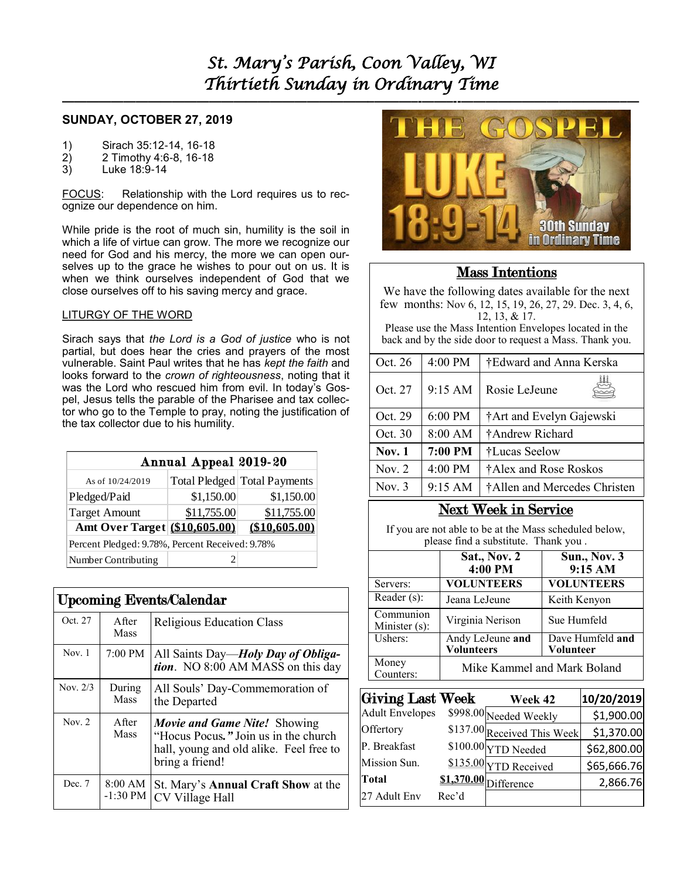### **SUNDAY, OCTOBER 27, 2019**

- 1) Sirach 35:12-14, 16-18
- 2) 2 Timothy 4:6-8, 16-18<br>3) Luke 18:9-14
- Luke 18:9-14

FOCUS: Relationship with the Lord requires us to recognize our dependence on him.

While pride is the root of much sin, humility is the soil in which a life of virtue can grow. The more we recognize our need for God and his mercy, the more we can open ourselves up to the grace he wishes to pour out on us. It is when we think ourselves independent of God that we close ourselves off to his saving mercy and grace.

#### LITURGY OF THE WORD

Sirach says that *the Lord is a God of justice* who is not partial, but does hear the cries and prayers of the most vulnerable. Saint Paul writes that he has *kept the faith* and looks forward to the *crown of righteousness*, noting that it was the Lord who rescued him from evil. In today's Gospel, Jesus tells the parable of the Pharisee and tax collector who go to the Temple to pray, noting the justification of the tax collector due to his humility.

| Annual Appeal 2019-20                           |             |                                |  |  |
|-------------------------------------------------|-------------|--------------------------------|--|--|
| As of 10/24/2019                                |             | Total Pledged   Total Payments |  |  |
| Pledged/Paid                                    | \$1,150.00  | \$1,150.00                     |  |  |
| <b>Target Amount</b>                            | \$11,755.00 | \$11,755.00                    |  |  |
| Amt Over Target (\$10,605.00)                   |             | (\$10,605.00)                  |  |  |
| Percent Pledged: 9.78%, Percent Received: 9.78% |             |                                |  |  |
| Number Contributing                             |             |                                |  |  |

| <b>Upcoming Events/Calendar</b> |                       |                                                                                                                                    |  |  |
|---------------------------------|-----------------------|------------------------------------------------------------------------------------------------------------------------------------|--|--|
| Oct. 27                         | After<br><b>Mass</b>  | <b>Religious Education Class</b>                                                                                                   |  |  |
| Now. 1                          | 7:00 PM               | All Saints Day— <i>Holy Day of Obliga-</i><br>tion. NO 8:00 AM MASS on this day                                                    |  |  |
| Nov. 2/3                        | During<br><b>Mass</b> | All Souls' Day-Commemoration of<br>the Departed                                                                                    |  |  |
| Nov. $2$                        | After<br>Mass         | Movie and Game Nite! Showing<br>"Hocus Pocus." Join us in the church<br>hall, young and old alike. Feel free to<br>bring a friend! |  |  |
| Dec. 7                          | 8:00 AM<br>$-1:30$ PM | St. Mary's <b>Annual Craft Show</b> at the<br>CV Village Hall                                                                      |  |  |



## Mass Intentions

We have the following dates available for the next few months: Nov 6, 12, 15, 19, 26, 27, 29. Dec. 3, 4, 6, 12, 13, & 17.

Please use the Mass Intention Envelopes located in the back and by the side door to request a Mass. Thank you.

| Oct. 26       | 4:00 PM           | †Edward and Anna Kerska      |  |  |
|---------------|-------------------|------------------------------|--|--|
| Oct. 27       | 9:15 AM           | Rosie LeJeune                |  |  |
| Oct. 29       | $6:00$ PM         | †Art and Evelyn Gajewski     |  |  |
| Oct. 30       | 8:00 AM           | †Andrew Richard              |  |  |
| <b>Nov. 1</b> | 7:00 PM           | †Lucas Seelow                |  |  |
| Nov. $2$      | $4:00$ PM         | †Alex and Rose Roskos        |  |  |
| Nov. $3$      | $9:15 \text{ AM}$ | †Allen and Mercedes Christen |  |  |
|               |                   |                              |  |  |

## Next Week in Service

If you are not able to be at the Mass scheduled below, please find a substitute. Thank you .

|                            | <b>Sat., Nov. 2</b><br>4:00 PM        | <b>Sun., Nov. 3</b><br>9:15 AM       |  |
|----------------------------|---------------------------------------|--------------------------------------|--|
| Servers:                   | <b>VOLUNTEERS</b>                     | <b>VOLUNTEERS</b>                    |  |
| Reader (s):                | Jeana LeJeune                         | Keith Kenyon                         |  |
| Communion<br>Minister (s): | Virginia Nerison                      | Sue Humfeld                          |  |
| Ushers:                    | Andy LeJeune and<br><b>Volunteers</b> | Dave Humfeld and<br><b>Volunteer</b> |  |
| Money<br>Counters:         | Mike Kammel and Mark Boland           |                                      |  |

| <b>Giving Last Week</b> |       | Week 42                     | 10/20/2019  |
|-------------------------|-------|-----------------------------|-------------|
| <b>Adult Envelopes</b>  |       | \$998.00 Needed Weekly      | \$1,900.00  |
| Offertory               |       | \$137.00 Received This Week | \$1,370.00  |
| P. Breakfast            |       | $$100.00$ YTD Needed        | \$62,800.00 |
| Mission Sun.            |       | \$135.00 YTD Received       | \$65,666.76 |
| <b>Total</b>            |       | $$1,370.00$ Difference      | 2,866.76    |
| 27 Adult Env            | Rec'd |                             |             |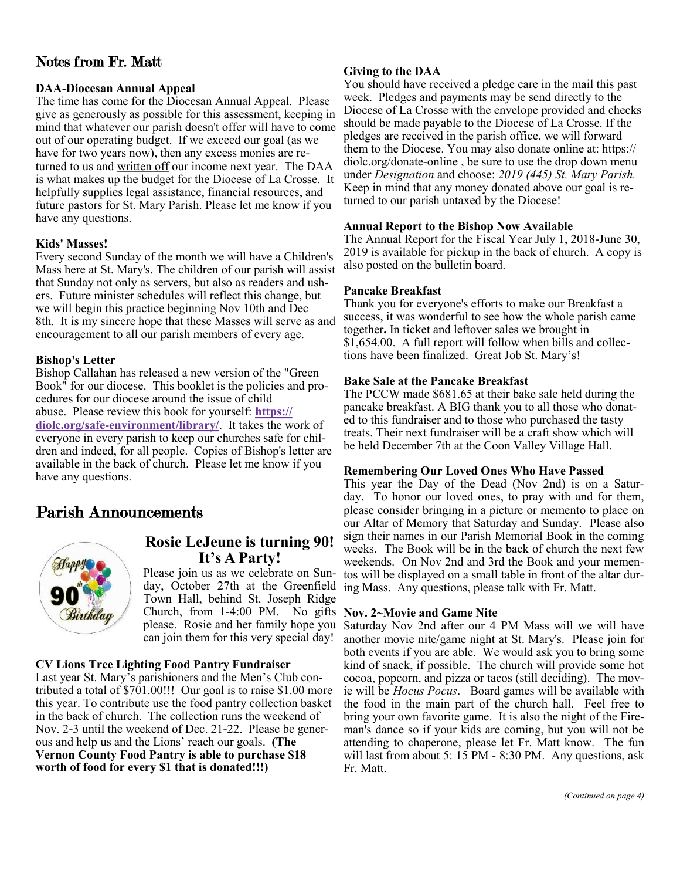## Notes from Fr. Matt

#### **DAA-Diocesan Annual Appeal**

The time has come for the Diocesan Annual Appeal. Please give as generously as possible for this assessment, keeping in mind that whatever our parish doesn't offer will have to come out of our operating budget. If we exceed our goal (as we have for two years now), then any excess monies are returned to us and written off our income next year. The DAA is what makes up the budget for the Diocese of La Crosse. It helpfully supplies legal assistance, financial resources, and future pastors for St. Mary Parish. Please let me know if you have any questions.

#### **Kids' Masses!**

Every second Sunday of the month we will have a Children's Mass here at St. Mary's. The children of our parish will assist that Sunday not only as servers, but also as readers and ushers. Future minister schedules will reflect this change, but we will begin this practice beginning Nov 10th and Dec 8th. It is my sincere hope that these Masses will serve as and encouragement to all our parish members of every age.

#### **Bishop's Letter**

Bishop Callahan has released a new version of the "Green Book<sup>"</sup> for our diocese. This booklet is the policies and procedures for our diocese around the issue of child abuse. Please review this book for yourself: **[https://](https://diolc.org/safe-environment/library/) [diolc.org/safe-environment/library/](https://diolc.org/safe-environment/library/)**. It takes the work of everyone in every parish to keep our churches safe for children and indeed, for all people. Copies of Bishop's letter are available in the back of church. Please let me know if you have any questions.

## Parish Announcements



## **Rosie LeJeune is turning 90! It's A Party!**

Please join us as we celebrate on Sunday, October 27th at the Greenfield Town Hall, behind St. Joseph Ridge Church, from 1-4:00 PM. No gifts Nov. 2~Movie and Game Nite please. Rosie and her family hope you can join them for this very special day!

#### **CV Lions Tree Lighting Food Pantry Fundraiser**

Last year St. Mary's parishioners and the Men's Club contributed a total of  $$701.00$ !!! Our goal is to raise \$1.00 more this year. To contribute use the food pantry collection basket in the back of church. The collection runs the weekend of Nov. 2-3 until the weekend of Dec. 21-22. Please be generous and help us and the Lions' reach our goals. **(The Vernon County Food Pantry is able to purchase \$18 worth of food for every \$1 that is donated!!!)**

#### **Giving to the DAA**

You should have received a pledge care in the mail this past week. Pledges and payments may be send directly to the Diocese of La Crosse with the envelope provided and checks should be made payable to the Diocese of La Crosse. If the pledges are received in the parish office, we will forward them to the Diocese. You may also donate online at: https:// diolc.org/donate-online , be sure to use the drop down menu under *Designation* and choose: *2019 (445) St. Mary Parish.*  Keep in mind that any money donated above our goal is returned to our parish untaxed by the Diocese!

#### **Annual Report to the Bishop Now Available**

The Annual Report for the Fiscal Year July 1, 2018-June 30, 2019 is available for pickup in the back of church. A copy is also posted on the bulletin board.

#### **Pancake Breakfast**

Thank you for everyone's efforts to make our Breakfast a success, it was wonderful to see how the whole parish came together**.** In ticket and leftover sales we brought in \$1,654.00. A full report will follow when bills and collections have been finalized. Great Job St. Mary's!

#### **Bake Sale at the Pancake Breakfast**

The PCCW made \$681.65 at their bake sale held during the pancake breakfast. A BIG thank you to all those who donated to this fundraiser and to those who purchased the tasty treats. Their next fundraiser will be a craft show which will be held December 7th at the Coon Valley Village Hall.

#### **Remembering Our Loved Ones Who Have Passed**

This year the Day of the Dead (Nov 2nd) is on a Saturday. To honor our loved ones, to pray with and for them, please consider bringing in a picture or memento to place on our Altar of Memory that Saturday and Sunday. Please also sign their names in our Parish Memorial Book in the coming weeks. The Book will be in the back of church the next few weekends. On Nov 2nd and 3rd the Book and your mementos will be displayed on a small table in front of the altar during Mass. Any questions, please talk with Fr. Matt.

Saturday Nov 2nd after our 4 PM Mass will we will have another movie nite/game night at St. Mary's. Please join for both events if you are able. We would ask you to bring some kind of snack, if possible. The church will provide some hot cocoa, popcorn, and pizza or tacos (still deciding). The movie will be *Hocus Pocus*. Board games will be available with the food in the main part of the church hall. Feel free to bring your own favorite game. It is also the night of the Fireman's dance so if your kids are coming, but you will not be attending to chaperone, please let Fr. Matt know. The fun will last from about 5: 15 PM - 8:30 PM. Any questions, ask Fr. Matt.